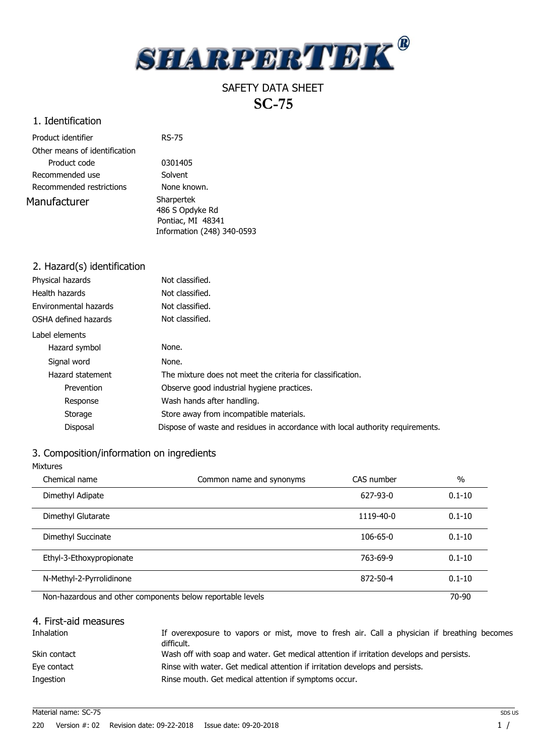

# SAFETY DATA SHEET  **SC-75**

# 1. Identification

| Product identifier            | <b>RS-75</b>                                                                     |  |
|-------------------------------|----------------------------------------------------------------------------------|--|
| Other means of identification |                                                                                  |  |
| Product code                  | 0301405                                                                          |  |
| Recommended use               | Solvent                                                                          |  |
| Recommended restrictions      | None known.                                                                      |  |
| Manufacturer                  | Sharpertek<br>486 S Opdyke Rd<br>Pontiac, MI 48341<br>Information (248) 340-0593 |  |

| 2. Hazard(s) identification |                                                                                |
|-----------------------------|--------------------------------------------------------------------------------|
| Physical hazards            | Not classified.                                                                |
| Health hazards              | Not classified.                                                                |
| Environmental hazards       | Not classified.                                                                |
| OSHA defined hazards        | Not classified.                                                                |
| Label elements              |                                                                                |
| Hazard symbol               | None.                                                                          |
| Signal word                 | None.                                                                          |
| Hazard statement            | The mixture does not meet the criteria for classification.                     |
| Prevention                  | Observe good industrial hygiene practices.                                     |
| Response                    | Wash hands after handling.                                                     |
| Storage                     | Store away from incompatible materials.                                        |
| Disposal                    | Dispose of waste and residues in accordance with local authority requirements. |

# 3. Composition/information on ingredients

| <b>Mixtures</b>                                            |                          |                |            |
|------------------------------------------------------------|--------------------------|----------------|------------|
| Chemical name                                              | Common name and synonyms | CAS number     | $\%$       |
| Dimethyl Adipate                                           |                          | $627 - 93 - 0$ | $0.1 - 10$ |
| Dimethyl Glutarate                                         |                          | 1119-40-0      | $0.1 - 10$ |
| Dimethyl Succinate                                         |                          | $106 - 65 - 0$ | $0.1 - 10$ |
| Ethyl-3-Ethoxypropionate                                   |                          | 763-69-9       | $0.1 - 10$ |
| N-Methyl-2-Pyrrolidinone                                   |                          | 872-50-4       | $0.1 - 10$ |
| Non-hazardous and other components below reportable levels |                          |                | 70-90      |

| 4. First-aid measures |                                                                                                           |
|-----------------------|-----------------------------------------------------------------------------------------------------------|
| <b>Inhalation</b>     | If overexposure to vapors or mist, move to fresh air. Call a physician if breathing becomes<br>difficult. |
| Skin contact          | Wash off with soap and water. Get medical attention if irritation develops and persists.                  |
| Eye contact           | Rinse with water. Get medical attention if irritation develops and persists.                              |
| Ingestion             | Rinse mouth. Get medical attention if symptoms occur.                                                     |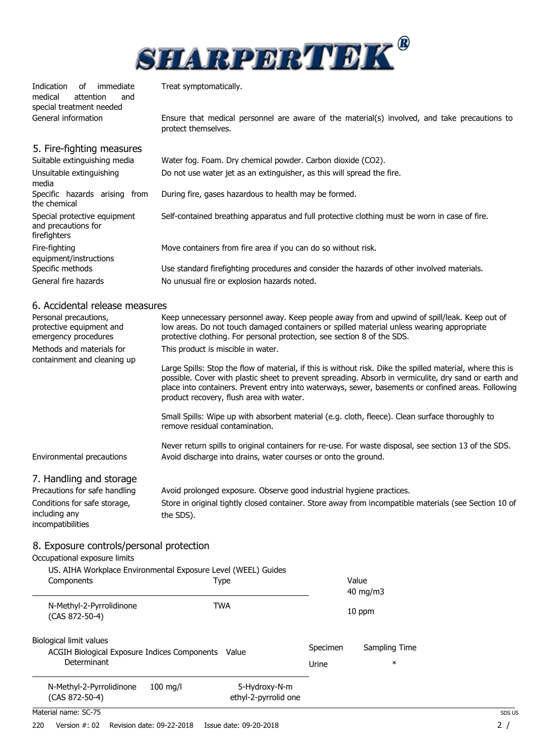

Indication of immediate<br>medical attention and attention and special treatment needed General information

Treat symptomatically.

Ensure that medical personnel are aware of the material(s) involved, and take precautions to protect themselves.

| 5. Fire-fighting measures<br>Suitable extinguishing media           | Water fog. Foam. Dry chemical powder. Carbon dioxide (CO2).                                   |
|---------------------------------------------------------------------|-----------------------------------------------------------------------------------------------|
| Unsuitable extinguishing<br>media                                   | Do not use water jet as an extinguisher, as this will spread the fire.                        |
| Specific hazards arising from<br>the chemical                       | During fire, gases hazardous to health may be formed.                                         |
| Special protective equipment<br>and precautions for<br>firefighters | Self-contained breathing apparatus and full protective clothing must be worn in case of fire. |
| Fire-fighting<br>equipment/instructions                             | Move containers from fire area if you can do so without risk.                                 |
| Specific methods                                                    | Use standard firefighting procedures and consider the hazards of other involved materials.    |
| General fire hazards                                                | No unusual fire or explosion hazards noted.                                                   |
| 6. Accidental release measures                                      |                                                                                               |

#### 6. Accidental release measures

| Personal precautions,<br>protective equipment and<br>emergency procedures | Keep unnecessary personnel away. Keep people away from and upwind of spill/leak. Keep out of<br>low areas. Do not touch damaged containers or spilled material unless wearing appropriate<br>protective clothing. For personal protection, see section 8 of the SDS.                                                                                                  |
|---------------------------------------------------------------------------|-----------------------------------------------------------------------------------------------------------------------------------------------------------------------------------------------------------------------------------------------------------------------------------------------------------------------------------------------------------------------|
| Methods and materials for                                                 | This product is miscible in water.                                                                                                                                                                                                                                                                                                                                    |
| containment and cleaning up                                               | Large Spills: Stop the flow of material, if this is without risk. Dike the spilled material, where this is<br>possible. Cover with plastic sheet to prevent spreading. Absorb in vermiculite, dry sand or earth and<br>place into containers. Prevent entry into waterways, sewer, basements or confined areas. Following<br>product recovery, flush area with water. |
|                                                                           | Small Spills: Wipe up with absorbent material (e.g. cloth, fleece). Clean surface thoroughly to<br>remove residual contamination.                                                                                                                                                                                                                                     |
| Environmental precautions                                                 | Never return spills to original containers for re-use. For waste disposal, see section 13 of the SDS.<br>Avoid discharge into drains, water courses or onto the ground.                                                                                                                                                                                               |
| 7. Handling and storage<br>Precautions for safe handling                  | Avoid prolonged exposure. Observe good industrial hygiene practices.                                                                                                                                                                                                                                                                                                  |
| Conditions for safe storage,<br>including any<br>incompatibilities        | Store in original tightly closed container. Store away from incompatible materials (see Section 10 of<br>the SDS).                                                                                                                                                                                                                                                    |
| 0 Evnesure controle/nersonal protection                                   |                                                                                                                                                                                                                                                                                                                                                                       |

### 8. Exposure controls/personal protection

Occupational exposure limits

| US. AIHA Workplace Environmental Exposure Level (WEEL) Guides<br>Components                     | Type                                  |                   | Value<br>$40 \text{ mg/m}$ |
|-------------------------------------------------------------------------------------------------|---------------------------------------|-------------------|----------------------------|
| N-Methyl-2-Pyrrolidinone<br>(CAS 872-50-4)                                                      | TWA                                   |                   | 10 ppm                     |
| Biological limit values<br>ACGIH Biological Exposure Indices Components<br>Value<br>Determinant |                                       | Specimen<br>Urine | Sampling Time<br>$\ast$    |
| N-Methyl-2-Pyrrolidinone<br>$100$ ma/l<br>(CAS 872-50-4)                                        | 5-Hydroxy-N-m<br>ethyl-2-pyrrolid one |                   |                            |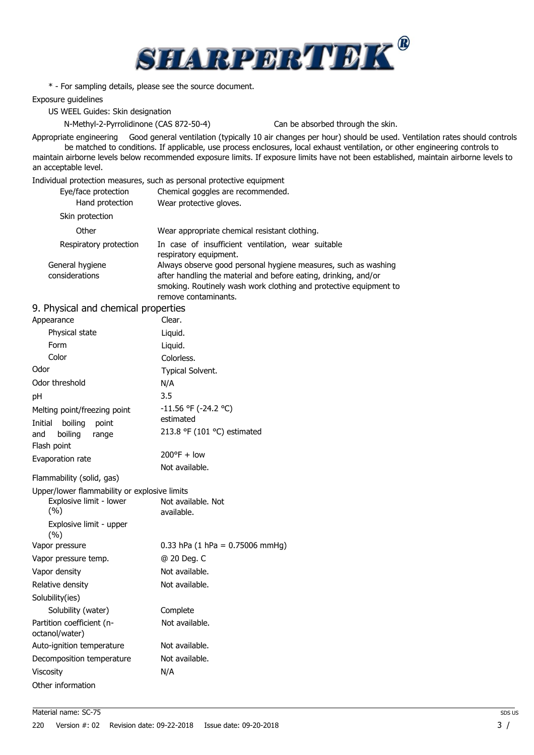

\* - For sampling details, please see the source document.

Exposure guidelines

US WEEL Guides: Skin designation

N-Methyl-2-Pyrrolidinone (CAS 872-50-4) Can be absorbed through the skin.

Appropriate engineering Good general ventilation (typically 10 air changes per hour) should be used. Ventilation rates should controls be matched to conditions. If applicable, use process enclosures, local exhaust ventilation, or other engineering controls to maintain airborne levels below recommended exposure limits. If exposure limits have not been established, maintain airborne levels to an acceptable level.

Individual protection measures, such as personal protective equipment

| Eye/face protection    | Chemical goggles are recommended.                                            |
|------------------------|------------------------------------------------------------------------------|
| Hand protection        | Wear protective gloves.                                                      |
| Skin protection        |                                                                              |
| Other                  | Wear appropriate chemical resistant clothing.                                |
| Respiratory protection | In case of insufficient ventilation, wear suitable<br>respiratory equipment. |
| General hygiene        | Always observe good personal hygiene measures, such as washing               |
| considerations         | after handling the material and before eating, drinking, and/or              |
|                        | smoking. Routinely wash work clothing and protective equipment to            |
|                        | remove contaminants.                                                         |

# 9. Physical and chemical properties

| Appearance                                                                                                       | Clear.                                                                |
|------------------------------------------------------------------------------------------------------------------|-----------------------------------------------------------------------|
| Physical state                                                                                                   | Liquid.                                                               |
| Form                                                                                                             | Liquid.                                                               |
| Color                                                                                                            | Colorless.                                                            |
| Odor                                                                                                             | Typical Solvent.                                                      |
| Odor threshold                                                                                                   | N/A                                                                   |
| pH                                                                                                               | 3.5                                                                   |
| Melting point/freezing point<br>Initial<br>boiling<br>point<br>boiling<br>and<br>range                           | $-11.56$ °F ( $-24.2$ °C)<br>estimated<br>213.8 °F (101 °C) estimated |
| Flash point                                                                                                      | $200^{\circ}F + low$                                                  |
| Evaporation rate                                                                                                 | Not available.                                                        |
| Flammability (solid, gas)                                                                                        |                                                                       |
| Upper/lower flammability or explosive limits<br>Explosive limit - lower<br>(%)<br>Explosive limit - upper<br>(%) | Not available. Not<br>available.                                      |
| Vapor pressure                                                                                                   | 0.33 hPa $(1$ hPa = 0.75006 mmHg)                                     |
| Vapor pressure temp.                                                                                             | @ 20 Deg. C                                                           |
| Vapor density                                                                                                    | Not available.                                                        |
| Relative density                                                                                                 | Not available.                                                        |
| Solubility(ies)                                                                                                  |                                                                       |
| Solubility (water)                                                                                               | Complete                                                              |
| Partition coefficient (n-<br>octanol/water)                                                                      | Not available.                                                        |
| Auto-ignition temperature                                                                                        | Not available.                                                        |
| Decomposition temperature                                                                                        | Not available.                                                        |
| <b>Viscosity</b>                                                                                                 | N/A                                                                   |
| Other information                                                                                                |                                                                       |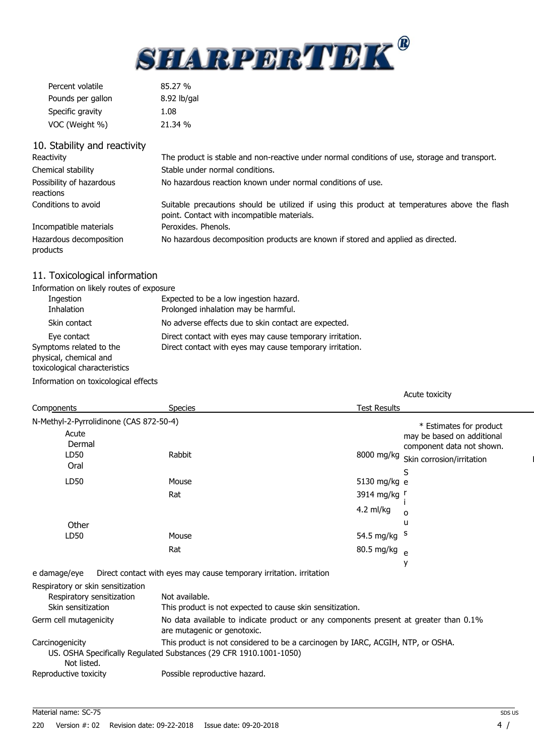

| Percent volatile  | 85.27%      |
|-------------------|-------------|
| Pounds per gallon | 8.92 lb/gal |
| Specific gravity  | 1.08        |
| VOC (Weight %)    | 21.34 %     |

| 10. Stability and reactivity          |                                                                                                                                              |
|---------------------------------------|----------------------------------------------------------------------------------------------------------------------------------------------|
| Reactivity                            | The product is stable and non-reactive under normal conditions of use, storage and transport.                                                |
| Chemical stability                    | Stable under normal conditions.                                                                                                              |
| Possibility of hazardous<br>reactions | No hazardous reaction known under normal conditions of use.                                                                                  |
| Conditions to avoid                   | Suitable precautions should be utilized if using this product at temperatures above the flash<br>point. Contact with incompatible materials. |
| Incompatible materials                | Peroxides. Phenols.                                                                                                                          |
| Hazardous decomposition<br>products   | No hazardous decomposition products are known if stored and applied as directed.                                                             |

# 11. Toxicological information

| Information on likely routes of exposure |                                                          |
|------------------------------------------|----------------------------------------------------------|
| Ingestion                                | Expected to be a low ingestion hazard.                   |
| <b>Inhalation</b>                        | Prolonged inhalation may be harmful.                     |
| Skin contact                             | No adverse effects due to skin contact are expected.     |
| Eye contact                              | Direct contact with eyes may cause temporary irritation. |
| Symptoms related to the                  | Direct contact with eyes may cause temporary irritation. |
| physical, chemical and                   |                                                          |
| toxicological characteristics            |                                                          |

Information on toxicological effects

|                                         |         | Acute toxicity                                                                                     |  |
|-----------------------------------------|---------|----------------------------------------------------------------------------------------------------|--|
| Components                              | Species | <b>Test Results</b>                                                                                |  |
| N-Methyl-2-Pyrrolidinone (CAS 872-50-4) |         | * Estimates for product                                                                            |  |
| Acute<br>Dermal<br>LD50                 | Rabbit  | may be based on additional<br>component data not shown.<br>8000 mg/kg<br>Skin corrosion/irritation |  |
| Oral                                    |         | S                                                                                                  |  |
| LD50                                    | Mouse   | 5130 mg/kg e                                                                                       |  |
|                                         | Rat     | 3914 mg/kg<br>4.2 ml/kg<br>o                                                                       |  |
| Other                                   |         | u                                                                                                  |  |
| LD50                                    | Mouse   | 54.5 mg/kg <sup>S</sup>                                                                            |  |
|                                         | Rat     | 80.5 mg/kg <sub>e</sub>                                                                            |  |
|                                         |         |                                                                                                    |  |

e damage/eye Direct contact with eyes may cause temporary irritation. irritation

| Respiratory or skin sensitization |                                                                                                                     |
|-----------------------------------|---------------------------------------------------------------------------------------------------------------------|
| Respiratory sensitization         | Not available.                                                                                                      |
| Skin sensitization                | This product is not expected to cause skin sensitization.                                                           |
| Germ cell mutagenicity            | No data available to indicate product or any components present at greater than 0.1%<br>are mutagenic or genotoxic. |
| Carcinogenicity                   | This product is not considered to be a carcinogen by IARC, ACGIH, NTP, or OSHA.                                     |
| Not listed.                       | US. OSHA Specifically Regulated Substances (29 CFR 1910.1001-1050)                                                  |
| Reproductive toxicity             | Possible reproductive hazard.                                                                                       |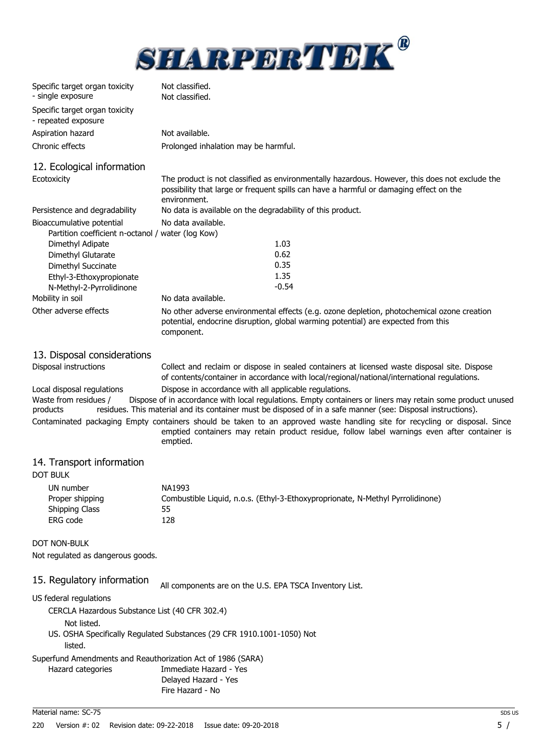

| Specific target organ toxicity<br>- single exposure                            | Not classified.<br>Not classified.                                                                                                                                                                       |  |  |
|--------------------------------------------------------------------------------|----------------------------------------------------------------------------------------------------------------------------------------------------------------------------------------------------------|--|--|
| Specific target organ toxicity<br>- repeated exposure                          |                                                                                                                                                                                                          |  |  |
| Aspiration hazard                                                              | Not available.                                                                                                                                                                                           |  |  |
| Chronic effects                                                                | Prolonged inhalation may be harmful.                                                                                                                                                                     |  |  |
| 12. Ecological information                                                     |                                                                                                                                                                                                          |  |  |
| Ecotoxicity                                                                    | The product is not classified as environmentally hazardous. However, this does not exclude the<br>possibility that large or frequent spills can have a harmful or damaging effect on the<br>environment. |  |  |
| Persistence and degradability                                                  | No data is available on the degradability of this product.                                                                                                                                               |  |  |
| Bioaccumulative potential<br>Partition coefficient n-octanol / water (log Kow) | No data available.                                                                                                                                                                                       |  |  |
| Dimethyl Adipate                                                               | 1.03                                                                                                                                                                                                     |  |  |
| Dimethyl Glutarate                                                             | 0.62                                                                                                                                                                                                     |  |  |
| Dimethyl Succinate                                                             | 0.35                                                                                                                                                                                                     |  |  |
| Ethyl-3-Ethoxypropionate                                                       | 1.35                                                                                                                                                                                                     |  |  |
| N-Methyl-2-Pyrrolidinone                                                       | $-0.54$                                                                                                                                                                                                  |  |  |
| Mobility in soil                                                               | No data available.                                                                                                                                                                                       |  |  |
| Other adverse effects                                                          | No other adverse environmental effects (e.g. ozone depletion, photochemical ozone creation<br>potential, endocrine disruption, global warming potential) are expected from this<br>component.            |  |  |

13. Disposal considerations

Disposal instructions Collect and reclaim or dispose in sealed containers at licensed waste disposal site. Dispose of contents/container in accordance with local/regional/national/international regulations.

Local disposal regulations Dispose in accordance with all applicable regulations.<br>Waste from residues / Dispose of in accordance with local regulations. Empty contain Dispose of in accordance with local regulations. Empty containers or liners may retain some product unused products residues. This material and its container must be disposed of in a safe manner (see: Disposal instructions).

Contaminated packaging Empty containers should be taken to an approved waste handling site for recycling or disposal. Since emptied containers may retain product residue, follow label warnings even after container is emptied.

#### 14. Transport information

#### DOT BULK

| UN number       | NA1993                                                                         |
|-----------------|--------------------------------------------------------------------------------|
| Proper shipping | Combustible Liquid, n.o.s. (Ethyl-3-Ethoxyproprionate, N-Methyl Pyrrolidinone) |
| Shipping Class  | 55                                                                             |
| ERG code        | 128.                                                                           |

DOT NON-BULK

Not regulated as dangerous goods.

15. Regulatory information All components are on the U.S. EPA TSCA Inventory List.

US federal regulations

CERCLA Hazardous Substance List (40 CFR 302.4)

- Not listed.
- US. OSHA Specifically Regulated Substances (29 CFR 1910.1001-1050) Not
	- listed.

Superfund Amendments and Reauthorization Act of 1986 (SARA)

Hazard categories Immediate Hazard - Yes

Delayed Hazard - Yes

Fire Hazard - No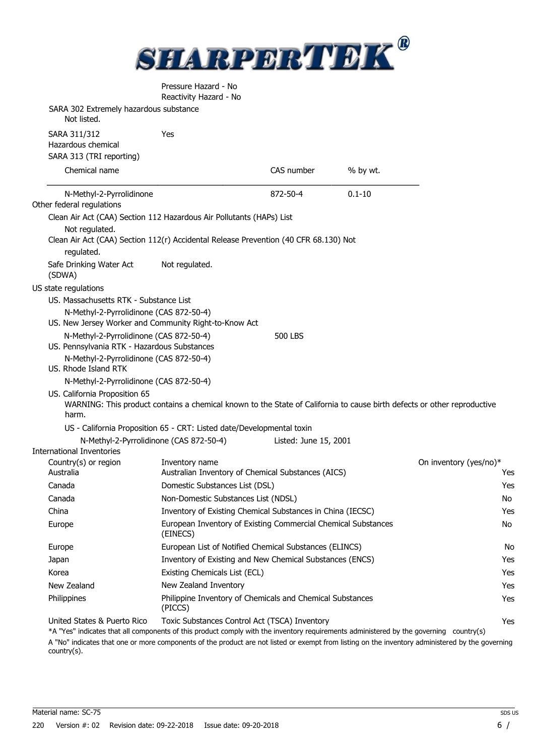

| Pressure Hazard - No   |
|------------------------|
| Reactivity Hazard - No |

| SARA 302 Extremely hazardous substance<br>Not listed.           |                                                                                                                             |                       |            |                        |
|-----------------------------------------------------------------|-----------------------------------------------------------------------------------------------------------------------------|-----------------------|------------|------------------------|
| SARA 311/312<br>Hazardous chemical<br>SARA 313 (TRI reporting)  | Yes                                                                                                                         |                       |            |                        |
| Chemical name                                                   |                                                                                                                             | CAS number            | % by wt.   |                        |
| N-Methyl-2-Pyrrolidinone                                        |                                                                                                                             | 872-50-4              | $0.1 - 10$ |                        |
| Other federal regulations                                       |                                                                                                                             |                       |            |                        |
|                                                                 | Clean Air Act (CAA) Section 112 Hazardous Air Pollutants (HAPs) List                                                        |                       |            |                        |
| Not regulated.<br>regulated.                                    | Clean Air Act (CAA) Section 112(r) Accidental Release Prevention (40 CFR 68.130) Not                                        |                       |            |                        |
| Safe Drinking Water Act<br>(SDWA)                               | Not regulated.                                                                                                              |                       |            |                        |
| US state regulations                                            |                                                                                                                             |                       |            |                        |
| US. Massachusetts RTK - Substance List                          |                                                                                                                             |                       |            |                        |
| N-Methyl-2-Pyrrolidinone (CAS 872-50-4)                         | US. New Jersey Worker and Community Right-to-Know Act                                                                       |                       |            |                        |
| N-Methyl-2-Pyrrolidinone (CAS 872-50-4)                         |                                                                                                                             | <b>500 LBS</b>        |            |                        |
| US. Pennsylvania RTK - Hazardous Substances                     |                                                                                                                             |                       |            |                        |
| N-Methyl-2-Pyrrolidinone (CAS 872-50-4)<br>US. Rhode Island RTK |                                                                                                                             |                       |            |                        |
| N-Methyl-2-Pyrrolidinone (CAS 872-50-4)                         |                                                                                                                             |                       |            |                        |
| US. California Proposition 65                                   |                                                                                                                             |                       |            |                        |
| harm.                                                           | WARNING: This product contains a chemical known to the State of California to cause birth defects or other reproductive     |                       |            |                        |
|                                                                 | US - California Proposition 65 - CRT: Listed date/Developmental toxin                                                       |                       |            |                        |
|                                                                 | N-Methyl-2-Pyrrolidinone (CAS 872-50-4)                                                                                     | Listed: June 15, 2001 |            |                        |
| <b>International Inventories</b>                                |                                                                                                                             |                       |            |                        |
| Country(s) or region                                            | Inventory name                                                                                                              |                       |            | On inventory (yes/no)* |
| Australia<br>Canada                                             | Australian Inventory of Chemical Substances (AICS)<br>Domestic Substances List (DSL)                                        |                       |            | Yes                    |
|                                                                 |                                                                                                                             |                       |            | Yes<br>No              |
| Canada                                                          | Non-Domestic Substances List (NDSL)                                                                                         |                       |            |                        |
| China                                                           | Inventory of Existing Chemical Substances in China (IECSC)<br>European Inventory of Existing Commercial Chemical Substances |                       |            | Yes<br>No              |
| Europe                                                          | (EINECS)                                                                                                                    |                       |            |                        |
| Europe                                                          | European List of Notified Chemical Substances (ELINCS)                                                                      |                       |            | No                     |
| Japan                                                           | Inventory of Existing and New Chemical Substances (ENCS)                                                                    |                       |            | Yes                    |
| Korea                                                           | Existing Chemicals List (ECL)                                                                                               |                       |            | Yes                    |
| New Zealand                                                     | New Zealand Inventory                                                                                                       |                       |            | Yes                    |
| Philippines                                                     | Philippine Inventory of Chemicals and Chemical Substances<br>(PICCS)                                                        |                       |            | Yes                    |
| United States & Puerto Rico                                     | Toxic Substances Control Act (TSCA) Inventory                                                                               |                       |            | Yes                    |

\*A "Yes" indicates that all components of this product comply with the inventory requirements administered by the governing country(s) A "No" indicates that one or more components of the product are not listed or exempt from listing on the inventory administered by the governing country(s).